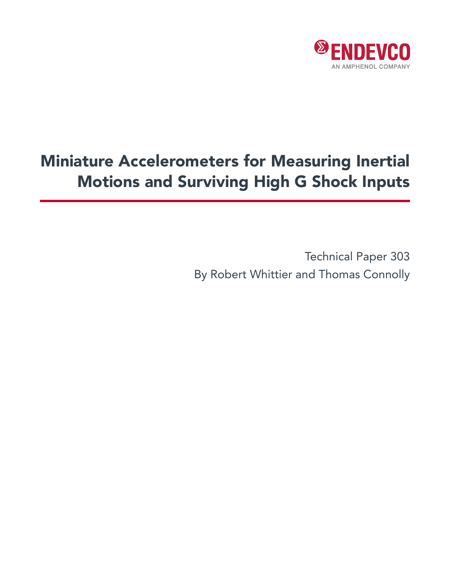

# Miniature Accelerometers for Measuring Inertial Motions and Surviving High G Shock Inputs

Technical Paper 303 By Robert Whittier and Thomas Connolly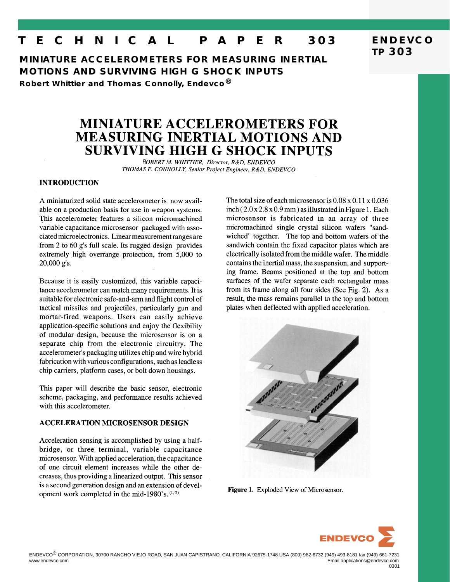## **T E C H N I C A L P A P E R 303**

**MINIATURE ACCELEROMETERS FOR MEASURING INERTIAL MOTIONS AND SURVIVING HIGH G SHOCK INPUTS**

**Robert Whittier and Thomas Connolly, Endevco®**

## **MINIATURE ACCELEROMETERS FOR MEASURING INERTIAL MOTIONS AND SURVIVING HIGH G SHOCK INPUTS**

ROBERT M. WHITTIER, Director, R&D, ENDEVCO THOMAS F. CONNOLLY, Senior Project Engineer, R&D, ENDEVCO

### **INTRODUCTION**

A miniaturized solid state accelerometer is now available on a production basis for use in weapon systems. This accelerometer features a silicon micromachined variable capacitance microsensor packaged with associated microelectronics. Linear measurement ranges are from 2 to 60 g's full scale. Its rugged design provides extremely high overrange protection, from 5,000 to 20,000 g's.

Because it is easily customized, this variable capacitance accelerometer can match many requirements. It is suitable for electronic safe-and-arm and flight control of tactical missiles and projectiles, particularly gun and mortar-fired weapons. Users can easily achieve application-specific solutions and enjoy the flexibility of modular design, because the microsensor is on a separate chip from the electronic circuitry. The accelerometer's packaging utilizes chip and wire hybrid fabrication with various configurations, such as leadless chip carriers, platform cases, or bolt down housings.

This paper will describe the basic sensor, electronic scheme, packaging, and performance results achieved with this accelerometer.

#### **ACCELERATION MICROSENSOR DESIGN**

Acceleration sensing is accomplished by using a halfbridge, or three terminal, variable capacitance microsensor. With applied acceleration, the capacitance of one circuit element increases while the other decreases, thus providing a linearized output. This sensor is a second generation design and an extension of development work completed in the mid-1980's.  $(1, 2)$ 

The total size of each microsensor is  $0.08 \times 0.11 \times 0.036$  $inch (2.0 x 2.8 x 0.9 mm)$  as illustrated in Figure 1. Each microsensor is fabricated in an array of three micromachined single crystal silicon wafers "sandwiched" together. The top and bottom wafers of the sandwich contain the fixed capacitor plates which are electrically isolated from the middle wafer. The middle contains the inertial mass, the suspension, and supporting frame. Beams positioned at the top and bottom surfaces of the wafer separate each rectangular mass from its frame along all four sides (See Fig. 2). As a result, the mass remains parallel to the top and bottom plates when deflected with applied acceleration.



Figure 1. Exploded View of Microsensor.



**ENDEVCO TP 303**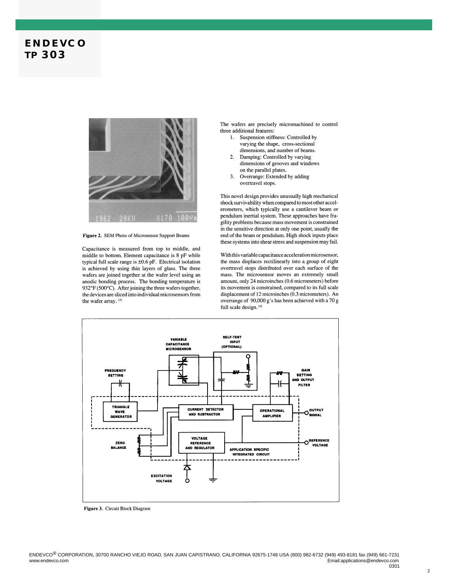

Figure 2. SEM Photo of Microsensor Support Beams

Capacitance is measured from top to middle, and middle to bottom. Element capacitance is 8 pF while typical full scale range is  $\pm 0.6$  pF. Electrical isolation is achieved by using thin layers of glass. The three wafers are joined together at the wafer level using an anodic bonding process. The bonding temperature is 932°F (500°C). After joining the three wafers together, the devices are sliced into individual microsensors from the wafer array. (3)

The wafers are precisely micromachined to control three additional features:

- 1. Suspension stiffness: Controlled by varying the shape, cross-sectional dimensions, and number of beams.
- 2. Damping: Controlled by varying dimensions of grooves and windows on the parallel plates.
- $\overline{3}$ . Overrange: Extended by adding overtravel stops.

This novel design provides unusually high mechanical shock survivability when compared to most other accelerometers, which typically use a cantilever beam or pendulum inertial system. These approaches have fragility problems because mass movement is constrained in the sensitive direction at only one point, usually the end of the beam or pendulum. High shock inputs place these systems into shear stress and suspension may fail.

With this variable capacitance acceleration microsensor, the mass displaces rectilinearly into a group of eight overtravel stops distributed over each surface of the mass. The microsensor moves an extremely small amount, only 24 microinches (0.6 micrometers) before its movement is constrained, compared to its full scale displacement of 12 microinches (0.3 micrometers). An overrange of 90,000 g's has been achieved with a 70 g full scale design. (4)



Figure 3. Circuit Block Diagram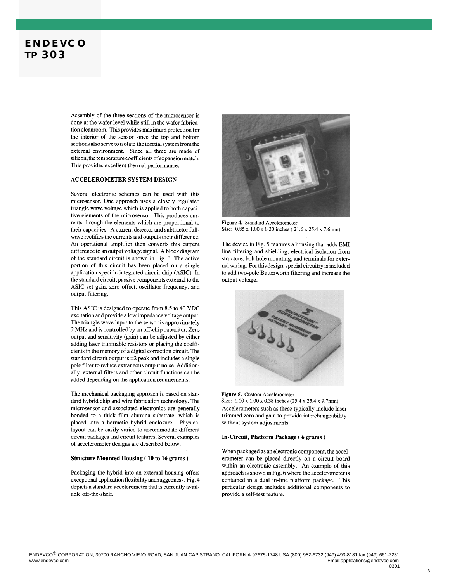Assembly of the three sections of the microsensor is done at the wafer level while still in the wafer fabrication cleanroom. This provides maximum protection for the interior of the sensor since the top and bottom sections also serve to isolate the inertial system from the external environment. Since all three are made of silicon, the temperature coefficients of expansion match. This provides excellent thermal performance.

#### **ACCELEROMETER SYSTEM DESIGN**

Several electronic schemes can be used with this microsensor. One approach uses a closely regulated triangle wave voltage which is applied to both capacitive elements of the microsensor. This produces currents through the elements which are proportional to their capacities. A current detector and subtractor fullwave rectifies the currents and outputs their difference. An operational amplifier then converts this current difference to an output voltage signal. A block diagram of the standard circuit is shown in Fig. 3. The active portion of this circuit has been placed on a single application specific integrated circuit chip (ASIC). In the standard circuit, passive components external to the ASIC set gain, zero offset, oscillator frequency, and output filtering.

This ASIC is designed to operate from 8.5 to 40 VDC excitation and provide a low impedance voltage output. The triangle wave input to the sensor is approximately 2 MHz and is controlled by an off-chip capacitor. Zero output and sensitivity (gain) can be adjusted by either adding laser trimmable resistors or placing the coefficients in the memory of a digital correction circuit. The standard circuit output is  $\pm 2$  peak and includes a single pole filter to reduce extraneous output noise. Additionally, external filters and other circuit functions can be added depending on the application requirements.

The mechanical packaging approach is based on standard hybrid chip and wire fabrication technology. The microsensor and associated electronics are generally bonded to a thick film alumina substrate, which is placed into a hermetic hybrid enclosure. Physical layout can be easily varied to accommodate different circuit packages and circuit features. Several examples of accelerometer designs are described below:

#### **Structure Mounted Housing (10 to 16 grams)**

Packaging the hybrid into an external housing offers exceptional application flexibility and ruggedness. Fig. 4 depicts a standard accelerometer that is currently available off-the-shelf.



Figure 4. Standard Accelerometer Size: 0.85 x 1.00 x 0.30 inches (21.6 x 25.4 x 7.6mm)

The device in Fig. 5 features a housing that adds EMI line filtering and shielding, electrical isolation from structure, bolt hole mounting, and terminals for external wiring. For this design, special circuitry is included to add two-pole Butterworth filtering and increase the output voltage.



Figure 5. Custom Accelerometer Size: 1.00 x 1.00 x 0.38 inches (25.4 x 25.4 x 9.7mm) Accelerometers such as these typically include laser trimmed zero and gain to provide interchangeability without system adjustments.

#### In-Circuit, Platform Package (6 grams)

When packaged as an electronic component, the accelerometer can be placed directly on a circuit board within an electronic assembly. An example of this approach is shown in Fig. 6 where the accelerometer is contained in a dual in-line platform package. This particular design includes additional components to provide a self-test feature.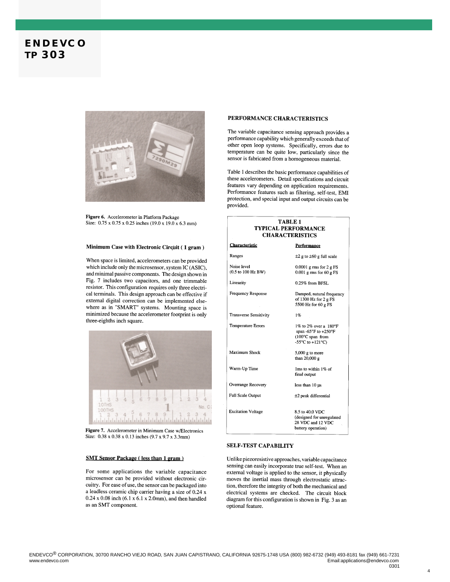

Figure 6. Accelerometer in Platform Package Size: 0.75 x 0.75 x 0.25 inches (19.0 x 19.0 x 6.3 mm)

#### Minimum Case with Electronic Circuit (1 gram)

When space is limited, accelerometers can be provided which include only the microsensor, system IC (ASIC), and minimal passive components. The design shown in Fig. 7 includes two capacitors, and one trimmable resistor. This configuration requires only three electrical terminals. This design approach can be effective if external digital correction can be implemented elsewhere as in "SMART" systems. Mounting space is minimized because the accelerometer footprint is only three-eighths inch square.



Figure 7. Accelerometer in Minimum Case w/Electronics Size: 0.38 x 0.38 x 0.13 inches (9.7 x 9.7 x 3.3mm)

#### **SMT Sensor Package (less than 1 gram)**

For some applications the variable capacitance microsensor can be provided without electronic circuitry. For ease of use, the sensor can be packaged into a leadless ceramic chip carrier having a size of 0.24 x  $0.24 \times 0.08$  inch (6.1 x 6.1 x 2.0mm), and then handled as an SMT component.

#### PERFORMANCE CHARACTERISTICS

The variable capacitance sensing approach provides a performance capability which generally exceeds that of other open loop systems. Specifically, errors due to temperature can be quite low, particularly since the sensor is fabricated from a homogeneous material.

Table 1 describes the basic performance capabilities of these accelerometers. Detail specifications and circuit features vary depending on application requirements. Performance features such as filtering, self-test, EMI protection, and special input and output circuits can be provided.

| TABLE <sub>1</sub><br><b>TYPICAL PERFORMANCE</b><br><b>CHARACTERISTICS</b> |                                                                                                           |
|----------------------------------------------------------------------------|-----------------------------------------------------------------------------------------------------------|
| Characteristic                                                             | <b>Performance</b>                                                                                        |
| Ranges                                                                     | $\pm 2$ g to $\pm 60$ g full scale                                                                        |
| Noise level<br>(0.5 to 100 Hz BW)                                          | $0.0001$ g rms for $2$ g FS<br>$0.001$ g rms for 60 g FS                                                  |
| Linearity                                                                  | $0.25\%$ from RFSL.                                                                                       |
| <b>Frequency Response</b>                                                  | Damped, natural frequency<br>of 1300 Hz for 2 g FS<br>5500 Hz for 60 g FS                                 |
| <b>Transverse Sensitivity</b>                                              | 1%                                                                                                        |
| <b>Temperature Errors</b>                                                  | 1% to 2% over a 180°F<br>span -65°F to +250°F<br>(100°C span from<br>$-55^{\circ}$ C to $+121^{\circ}$ C) |
| <b>Maximum Shock</b>                                                       | $5,000$ g to more<br>than 20,000 g                                                                        |
| Warm-Up Time                                                               | 1ms to within 1% of<br>final output                                                                       |
| Overrange Recovery                                                         | less than $10 \mu s$                                                                                      |
| <b>Full Scale Output</b>                                                   | $\pm 2$ peak differential                                                                                 |
| <b>Excitation Voltage</b>                                                  | 8.5 to 40.0 VDC<br>(designed for unregulated<br>28 VDC and 12 VDC<br>battery operation)                   |

#### **SELF-TEST CAPABILITY**

Unlike piezoresistive approaches, variable capacitance sensing can easily incorporate true self-test. When an external voltage is applied to the sensor, it physically moves the inertial mass through electrostatic attraction, therefore the integrity of both the mechanical and electrical systems are checked. The circuit block diagram for this configuration is shown in Fig. 3 as an optional feature.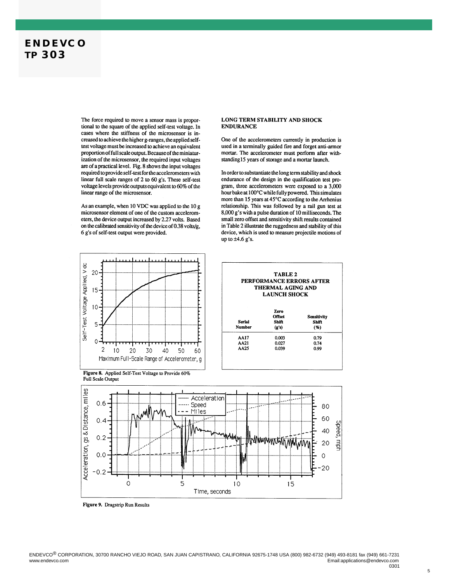The force required to move a sensor mass is proportional to the square of the applied self-test voltage. In cases where the stiffness of the microsensor is increased to achieve the higher g-ranges, the applied selftest voltage must be increased to achieve an equivalent proportion of full scale output. Because of the miniaturization of the microsensor, the required input voltages are of a practical level. Fig. 8 shows the input voltages required to provide self-test for the accelerometers with linear full scale ranges of 2 to 60 g's. These self-test voltage levels provide outputs equivalent to 60% of the linear range of the microsensor.

As an example, when 10 VDC was applied to the 10 g microsensor element of one of the custom accelerometers, the device output increased by 2.27 volts. Based on the calibrated sensitivity of the device of 0.38 volts/g, 6 g's of self-test output were provided.

#### LONG TERM STABILITY AND SHOCK **ENDURANCE**

One of the accelerometers currently in production is used in a terminally guided fire and forget anti-armor mortar. The accelerometer must perform after withstanding15 years of storage and a mortar launch.

In order to substantiate the long term stability and shock endurance of the design in the qualification test program, three accelerometers were exposed to a 3,000 hour bake at 100°C while fully powered. This simulates more than 15 years at 45°C according to the Arrhenius relationship. This was followed by a rail gun test at 8,000 g's with a pulse duration of 10 milliseconds. The small zero offset and sensitivity shift results contained in Table 2 illustrate the ruggedness and stability of this device, which is used to measure projectile motions of up to  $\pm 4.6$  g's.









Figure 9. Dragstrip Run Results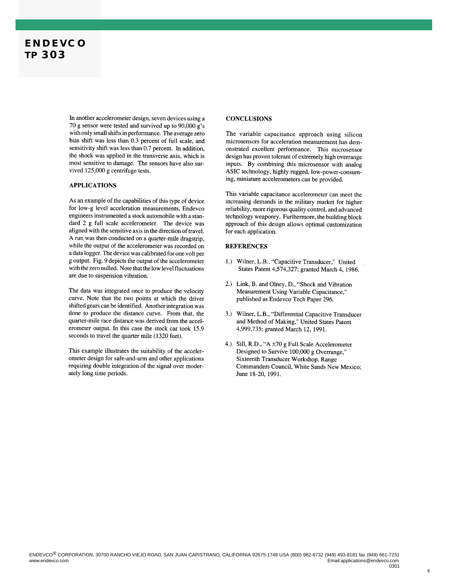In another accelerometer design, seven devices using a 70 g sensor were tested and survived up to 90,000 g's with only small shifts in performance. The average zero bias shift was less than 0.3 percent of full scale, and sensitivity shift was less than 0.7 percent. In addition, the shock was applied in the transverse axis, which is most sensitive to damage. The sensors have also survived 125,000 g centrifuge tests.

#### **APPLICATIONS**

As an example of the capabilities of this type of device for low-g level acceleration measurements. Endevco engineers instrumented a stock automobile with a standard 2 g full scale accelerometer. The device was aligned with the sensitive axis in the direction of travel. A run was then conducted on a quarter-mile dragstrip, while the output of the accelerometer was recorded on a data logger. The device was calibrated for one volt per g output. Fig. 9 depicts the output of the accelerometer with the zero nulled. Note that the low level fluctuations are due to suspension vibration.

The data was integrated once to produce the velocity curve. Note that the two points at which the driver shifted gears can be identified. Another integration was done to produce the distance curve. From that, the quarter-mile race distance was derived from the accelerometer output. In this case the stock car took 15.9 seconds to travel the quarter mile (1320 feet).

This example illustrates the suitability of the accelerometer design for safe-and-arm and other applications requiring double integration of the signal over moderately long time periods.

#### **CONCLUSIONS**

The variable capacitance approach using silicon microsensors for acceleration measurement has demonstrated excellent performance. This microsensor design has proven tolerant of extremely high overrange inputs. By combining this microsensor with analog ASIC technology, highly rugged, low-power-consuming, miniature accelerometers can be provided.

This variable capacitance accelerometer can meet the increasing demands in the military market for higher reliability, more rigorous quality control, and advanced technology weaponry. Furthermore, the building block approach of this design allows optimal customization for each application.

#### **REFERENCES**

- 1.) Wilner, L.B., "Capacitive Transducer," United States Patent 4,574,327; granted March 4, 1986.
- 2.) Link, B. and Olney, D., "Shock and Vibration Measurement Using Variable Capacitance," published as Endevco Tech Paper 296.
- 3.) Wilner, L.B., "Differential Capacitive Transducer and Method of Making," United States Patent 4,999,735; granted March 12, 1991.
- 4.) Sill, R.D., "A ±70 g Full Scale Accelerometer Designed to Survive 100,000 g Overrange." Sixteenth Transducer Workshop, Range Commanders Council, White Sands New Mexico; June 18-20, 1991.